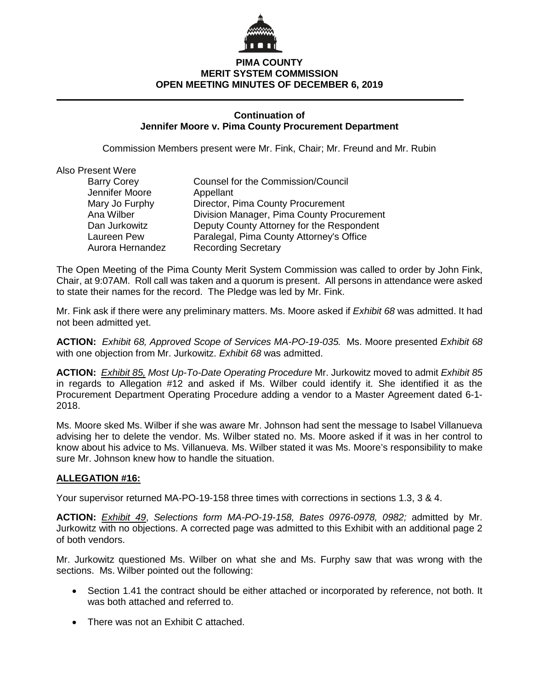

## **PIMA COUNTY MERIT SYSTEM COMMISSION OPEN MEETING MINUTES OF DECEMBER 6, 2019**

#### **Continuation of Jennifer Moore v. Pima County Procurement Department**

Commission Members present were Mr. Fink, Chair; Mr. Freund and Mr. Rubin

| Also Present Were  |                                           |
|--------------------|-------------------------------------------|
| <b>Barry Corey</b> | Counsel for the Commission/Council        |
| Jennifer Moore     | Appellant                                 |
| Mary Jo Furphy     | Director, Pima County Procurement         |
| Ana Wilber         | Division Manager, Pima County Procurement |
| Dan Jurkowitz      | Deputy County Attorney for the Respondent |
| Laureen Pew        | Paralegal, Pima County Attorney's Office  |
| Aurora Hernandez   | <b>Recording Secretary</b>                |
|                    |                                           |

The Open Meeting of the Pima County Merit System Commission was called to order by John Fink, Chair, at 9:07AM. Roll call was taken and a quorum is present. All persons in attendance were asked to state their names for the record. The Pledge was led by Mr. Fink.

Mr. Fink ask if there were any preliminary matters. Ms. Moore asked if *Exhibit 68* was admitted. It had not been admitted yet.

**ACTION:** *Exhibit 68, Approved Scope of Services MA-PO-19-035.* Ms. Moore presented *Exhibit 68* with one objection from Mr. Jurkowitz. *Exhibit 68* was admitted.

**ACTION:** *Exhibit 85, Most Up-To-Date Operating Procedure* Mr. Jurkowitz moved to admit *Exhibit 85* in regards to Allegation #12 and asked if Ms. Wilber could identify it. She identified it as the Procurement Department Operating Procedure adding a vendor to a Master Agreement dated 6-1- 2018.

Ms. Moore sked Ms. Wilber if she was aware Mr. Johnson had sent the message to Isabel Villanueva advising her to delete the vendor. Ms. Wilber stated no. Ms. Moore asked if it was in her control to know about his advice to Ms. Villanueva. Ms. Wilber stated it was Ms. Moore's responsibility to make sure Mr. Johnson knew how to handle the situation.

## **ALLEGATION #16:**

Your supervisor returned MA-PO-19-158 three times with corrections in sections 1.3, 3 & 4.

**ACTION:** *Exhibit 49*, *Selections form MA-PO-19-158, Bates 0976-0978, 0982;* admitted by Mr. Jurkowitz with no objections. A corrected page was admitted to this Exhibit with an additional page 2 of both vendors.

Mr. Jurkowitz questioned Ms. Wilber on what she and Ms. Furphy saw that was wrong with the sections. Ms. Wilber pointed out the following:

- Section 1.41 the contract should be either attached or incorporated by reference, not both. It was both attached and referred to.
- There was not an Exhibit C attached.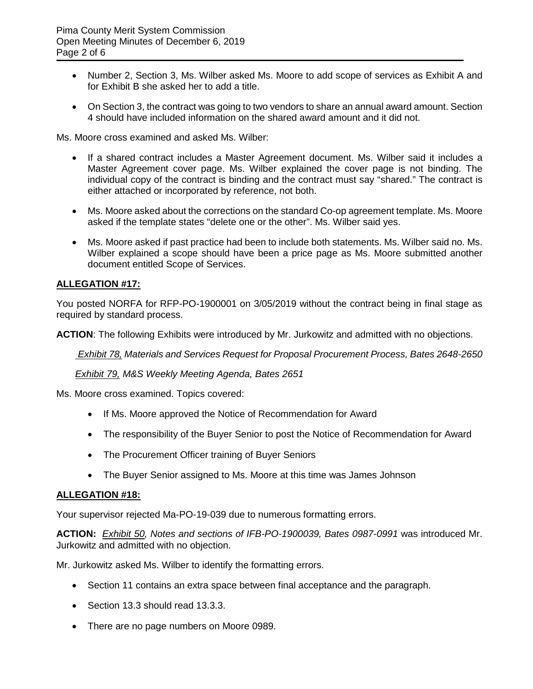- Number 2, Section 3, Ms. Wilber asked Ms. Moore to add scope of services as Exhibit A and for Exhibit B she asked her to add a title.
- On Section 3, the contract was going to two vendors to share an annual award amount. Section 4 should have included information on the shared award amount and it did not.

Ms. Moore cross examined and asked Ms. Wilber:

- If a shared contract includes a Master Agreement document. Ms. Wilber said it includes a Master Agreement cover page. Ms. Wilber explained the cover page is not binding. The individual copy of the contract is binding and the contract must say "shared." The contract is either attached or incorporated by reference, not both.
- Ms. Moore asked about the corrections on the standard Co-op agreement template. Ms. Moore asked if the template states "delete one or the other". Ms. Wilber said yes.
- Ms. Moore asked if past practice had been to include both statements. Ms. Wilber said no. Ms. Wilber explained a scope should have been a price page as Ms. Moore submitted another document entitled Scope of Services.

## **ALLEGATION #17:**

You posted NORFA for RFP-PO-1900001 on 3/05/2019 without the contract being in final stage as required by standard process.

**ACTION**: The following Exhibits were introduced by Mr. Jurkowitz and admitted with no objections.

*Exhibit 78, Materials and Services Request for Proposal Procurement Process, Bates 2648-2650*

*Exhibit 79, M&S Weekly Meeting Agenda, Bates 2651*

Ms. Moore cross examined. Topics covered:

- If Ms. Moore approved the Notice of Recommendation for Award
- The responsibility of the Buyer Senior to post the Notice of Recommendation for Award
- The Procurement Officer training of Buyer Seniors
- The Buyer Senior assigned to Ms. Moore at this time was James Johnson

## **ALLEGATION #18:**

Your supervisor rejected Ma-PO-19-039 due to numerous formatting errors.

**ACTION:** *Exhibit 50, Notes and sections of IFB-PO-1900039, Bates 0987-0991* was introduced Mr. Jurkowitz and admitted with no objection.

Mr. Jurkowitz asked Ms. Wilber to identify the formatting errors.

- Section 11 contains an extra space between final acceptance and the paragraph.
- Section 13.3 should read 13.3.3.
- There are no page numbers on Moore 0989.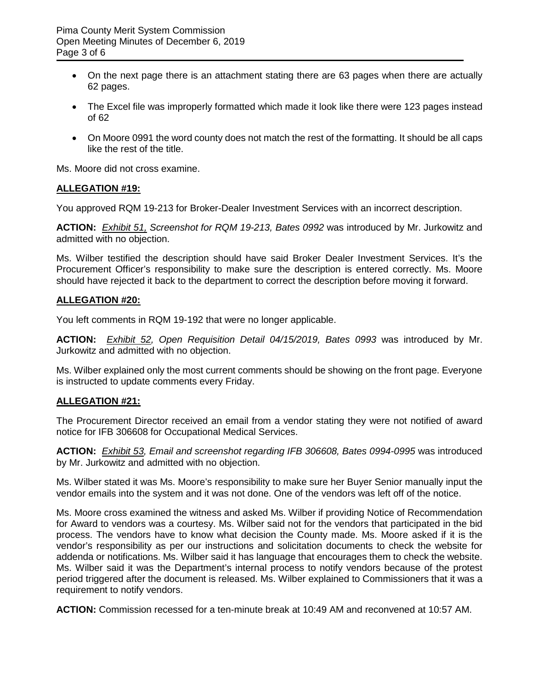- On the next page there is an attachment stating there are 63 pages when there are actually 62 pages.
- The Excel file was improperly formatted which made it look like there were 123 pages instead of 62
- On Moore 0991 the word county does not match the rest of the formatting. It should be all caps like the rest of the title.

Ms. Moore did not cross examine.

#### **ALLEGATION #19:**

You approved RQM 19-213 for Broker-Dealer Investment Services with an incorrect description.

**ACTION:** *Exhibit 51, Screenshot for RQM 19-213, Bates 0992* was introduced by Mr. Jurkowitz and admitted with no objection.

Ms. Wilber testified the description should have said Broker Dealer Investment Services. It's the Procurement Officer's responsibility to make sure the description is entered correctly. Ms. Moore should have rejected it back to the department to correct the description before moving it forward.

#### **ALLEGATION #20:**

You left comments in RQM 19-192 that were no longer applicable.

**ACTION:** *Exhibit 52, Open Requisition Detail 04/15/2019, Bates 0993* was introduced by Mr. Jurkowitz and admitted with no objection.

Ms. Wilber explained only the most current comments should be showing on the front page. Everyone is instructed to update comments every Friday.

## **ALLEGATION #21:**

The Procurement Director received an email from a vendor stating they were not notified of award notice for IFB 306608 for Occupational Medical Services.

**ACTION:** *Exhibit 53, Email and screenshot regarding IFB 306608, Bates 0994-0995* was introduced by Mr. Jurkowitz and admitted with no objection.

Ms. Wilber stated it was Ms. Moore's responsibility to make sure her Buyer Senior manually input the vendor emails into the system and it was not done. One of the vendors was left off of the notice.

Ms. Moore cross examined the witness and asked Ms. Wilber if providing Notice of Recommendation for Award to vendors was a courtesy. Ms. Wilber said not for the vendors that participated in the bid process. The vendors have to know what decision the County made. Ms. Moore asked if it is the vendor's responsibility as per our instructions and solicitation documents to check the website for addenda or notifications. Ms. Wilber said it has language that encourages them to check the website. Ms. Wilber said it was the Department's internal process to notify vendors because of the protest period triggered after the document is released. Ms. Wilber explained to Commissioners that it was a requirement to notify vendors.

**ACTION:** Commission recessed for a ten-minute break at 10:49 AM and reconvened at 10:57 AM.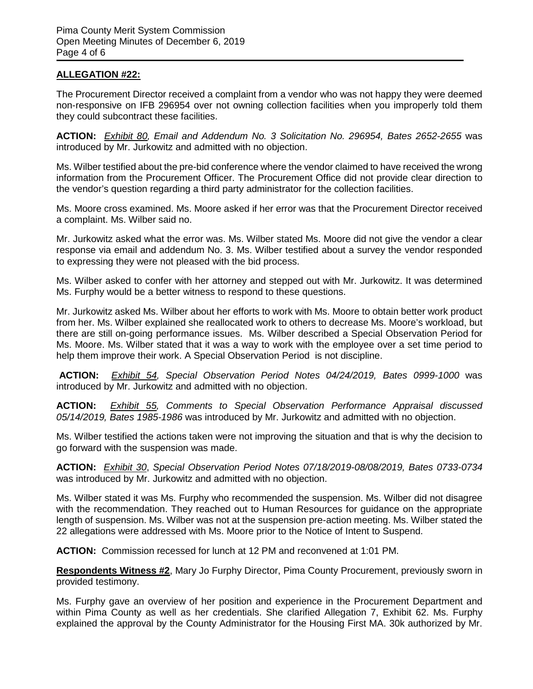## **ALLEGATION #22:**

The Procurement Director received a complaint from a vendor who was not happy they were deemed non-responsive on IFB 296954 over not owning collection facilities when you improperly told them they could subcontract these facilities.

**ACTION:** *Exhibit 80, Email and Addendum No. 3 Solicitation No. 296954, Bates 2652-2655* was introduced by Mr. Jurkowitz and admitted with no objection.

Ms. Wilber testified about the pre-bid conference where the vendor claimed to have received the wrong information from the Procurement Officer. The Procurement Office did not provide clear direction to the vendor's question regarding a third party administrator for the collection facilities.

Ms. Moore cross examined. Ms. Moore asked if her error was that the Procurement Director received a complaint. Ms. Wilber said no.

Mr. Jurkowitz asked what the error was. Ms. Wilber stated Ms. Moore did not give the vendor a clear response via email and addendum No. 3. Ms. Wilber testified about a survey the vendor responded to expressing they were not pleased with the bid process.

Ms. Wilber asked to confer with her attorney and stepped out with Mr. Jurkowitz. It was determined Ms. Furphy would be a better witness to respond to these questions.

Mr. Jurkowitz asked Ms. Wilber about her efforts to work with Ms. Moore to obtain better work product from her. Ms. Wilber explained she reallocated work to others to decrease Ms. Moore's workload, but there are still on-going performance issues. Ms. Wilber described a Special Observation Period for Ms. Moore. Ms. Wilber stated that it was a way to work with the employee over a set time period to help them improve their work. A Special Observation Period is not discipline.

**ACTION:** *Exhibit 54, Special Observation Period Notes 04/24/2019, Bates 0999-1000* was introduced by Mr. Jurkowitz and admitted with no objection.

**ACTION:** *Exhibit 55, Comments to Special Observation Performance Appraisal discussed 05/14/2019, Bates 1985-1986* was introduced by Mr. Jurkowitz and admitted with no objection.

Ms. Wilber testified the actions taken were not improving the situation and that is why the decision to go forward with the suspension was made.

**ACTION:** *Exhibit 30*, *Special Observation Period Notes 07/18/2019-08/08/2019, Bates 0733-0734* was introduced by Mr. Jurkowitz and admitted with no objection.

Ms. Wilber stated it was Ms. Furphy who recommended the suspension. Ms. Wilber did not disagree with the recommendation. They reached out to Human Resources for guidance on the appropriate length of suspension. Ms. Wilber was not at the suspension pre-action meeting. Ms. Wilber stated the 22 allegations were addressed with Ms. Moore prior to the Notice of Intent to Suspend.

**ACTION:** Commission recessed for lunch at 12 PM and reconvened at 1:01 PM.

**Respondents Witness #2**, Mary Jo Furphy Director, Pima County Procurement, previously sworn in provided testimony.

Ms. Furphy gave an overview of her position and experience in the Procurement Department and within Pima County as well as her credentials. She clarified Allegation 7, Exhibit 62. Ms. Furphy explained the approval by the County Administrator for the Housing First MA. 30k authorized by Mr.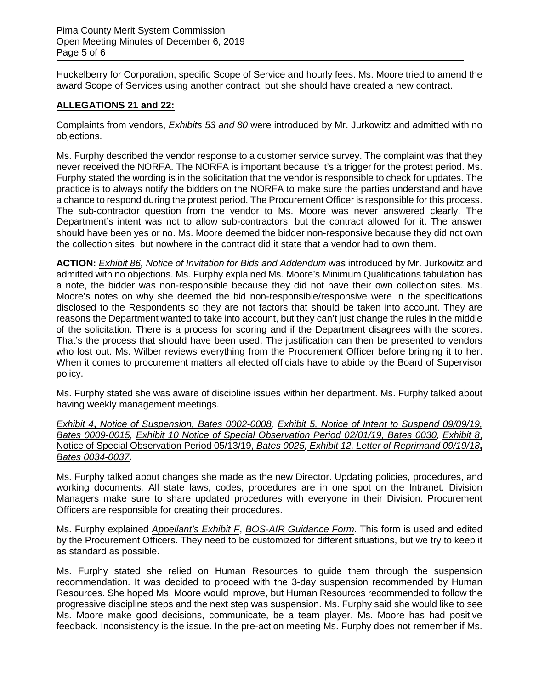Huckelberry for Corporation, specific Scope of Service and hourly fees. Ms. Moore tried to amend the award Scope of Services using another contract, but she should have created a new contract.

# **ALLEGATIONS 21 and 22:**

Complaints from vendors, *Exhibits 53 and 80* were introduced by Mr. Jurkowitz and admitted with no objections.

Ms. Furphy described the vendor response to a customer service survey. The complaint was that they never received the NORFA. The NORFA is important because it's a trigger for the protest period. Ms. Furphy stated the wording is in the solicitation that the vendor is responsible to check for updates. The practice is to always notify the bidders on the NORFA to make sure the parties understand and have a chance to respond during the protest period. The Procurement Officer is responsible for this process. The sub-contractor question from the vendor to Ms. Moore was never answered clearly. The Department's intent was not to allow sub-contractors, but the contract allowed for it. The answer should have been yes or no. Ms. Moore deemed the bidder non-responsive because they did not own the collection sites, but nowhere in the contract did it state that a vendor had to own them.

**ACTION:** *Exhibit 86, Notice of Invitation for Bids and Addendum* was introduced by Mr. Jurkowitz and admitted with no objections. Ms. Furphy explained Ms. Moore's Minimum Qualifications tabulation has a note, the bidder was non-responsible because they did not have their own collection sites. Ms. Moore's notes on why she deemed the bid non-responsible/responsive were in the specifications disclosed to the Respondents so they are not factors that should be taken into account. They are reasons the Department wanted to take into account, but they can't just change the rules in the middle of the solicitation. There is a process for scoring and if the Department disagrees with the scores. That's the process that should have been used. The justification can then be presented to vendors who lost out. Ms. Wilber reviews everything from the Procurement Officer before bringing it to her. When it comes to procurement matters all elected officials have to abide by the Board of Supervisor policy.

Ms. Furphy stated she was aware of discipline issues within her department. Ms. Furphy talked about having weekly management meetings.

*Exhibit 4***,** *Notice of Suspension, Bates 0002-0008, Exhibit 5, Notice of Intent to Suspend 09/09/19, Bates 0009-0015, Exhibit 10 Notice of Special Observation Period 02/01/19, Bates 0030, Exhibit 8*, Notice of Special Observation Period 05/13/19, *Bates 0025, Exhibit 12, Letter of Reprimand 09/19/18***,** *Bates 0034-0037***.**

Ms. Furphy talked about changes she made as the new Director. Updating policies, procedures, and working documents. All state laws, codes, procedures are in one spot on the Intranet. Division Managers make sure to share updated procedures with everyone in their Division. Procurement Officers are responsible for creating their procedures.

Ms. Furphy explained *Appellant's Exhibit F*, *BOS-AIR Guidance Form*. This form is used and edited by the Procurement Officers. They need to be customized for different situations, but we try to keep it as standard as possible.

Ms. Furphy stated she relied on Human Resources to guide them through the suspension recommendation. It was decided to proceed with the 3-day suspension recommended by Human Resources. She hoped Ms. Moore would improve, but Human Resources recommended to follow the progressive discipline steps and the next step was suspension. Ms. Furphy said she would like to see Ms. Moore make good decisions, communicate, be a team player. Ms. Moore has had positive feedback. Inconsistency is the issue. In the pre-action meeting Ms. Furphy does not remember if Ms.